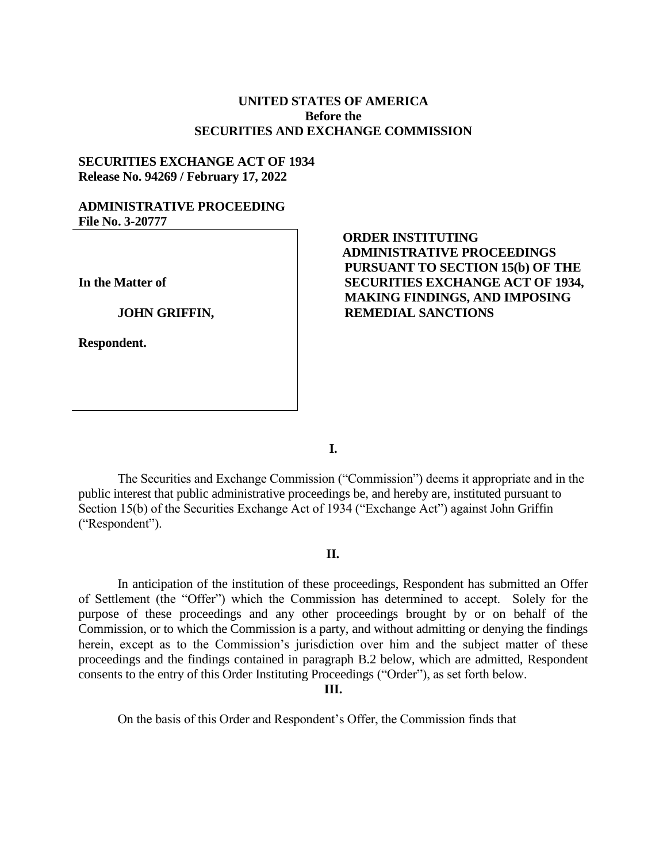## **UNITED STATES OF AMERICA Before the SECURITIES AND EXCHANGE COMMISSION**

## **SECURITIES EXCHANGE ACT OF 1934 Release No. 94269 / February 17, 2022**

## **ADMINISTRATIVE PROCEEDING File No. 3-20777**

**In the Matter of**

#### **JOHN GRIFFIN,**

**Respondent.**

# **ORDER INSTITUTING ADMINISTRATIVE PROCEEDINGS PURSUANT TO SECTION 15(b) OF THE SECURITIES EXCHANGE ACT OF 1934, MAKING FINDINGS, AND IMPOSING REMEDIAL SANCTIONS**

**I.**

The Securities and Exchange Commission ("Commission") deems it appropriate and in the public interest that public administrative proceedings be, and hereby are, instituted pursuant to Section 15(b) of the Securities Exchange Act of 1934 ("Exchange Act") against John Griffin ("Respondent").

## **II.**

In anticipation of the institution of these proceedings, Respondent has submitted an Offer of Settlement (the "Offer") which the Commission has determined to accept. Solely for the purpose of these proceedings and any other proceedings brought by or on behalf of the Commission, or to which the Commission is a party, and without admitting or denying the findings herein, except as to the Commission's jurisdiction over him and the subject matter of these proceedings and the findings contained in paragraph B.2 below, which are admitted, Respondent consents to the entry of this Order Instituting Proceedings ("Order"), as set forth below.

**III.**

On the basis of this Order and Respondent's Offer, the Commission finds that